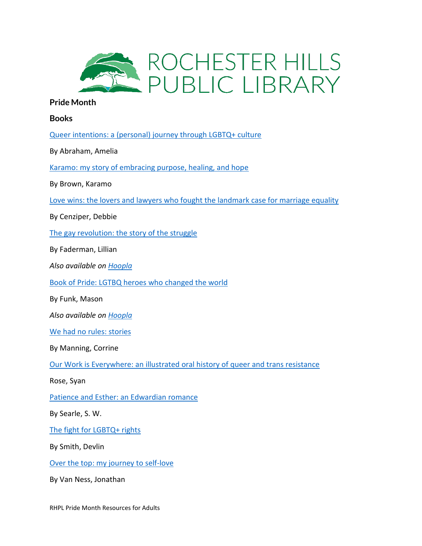

## **Pride Month**

**Books**

[Queer intentions: a \(personal\) journey through LGBTQ+ culture](https://catalog.rhpl.org/polaris/search/title.aspx?ctx=1.1033.0.0.8&pos=1&cn=749639)

By Abraham, Amelia

[Karamo: my story of embracing purpose, healing, and hope](https://catalog.rhpl.org/polaris/search/title.aspx?ctx=1.1033.0.0.8&pos=1&cn=657268)

By Brown, Karamo

[Love wins: the lovers and lawyers who fought the landmark case for marriage equality](https://catalog.rhpl.org/polaris/search/title.aspx?ctx=1.1033.0.0.8&pos=1&cn=500888)

By Cenziper, Debbie

[The gay revolution: the story of the struggle](https://catalog.rhpl.org/polaris/search/title.aspx?ctx=1.1033.0.0.8&pos=2&cn=478945)

By Faderman, Lillian

*Also available on [Hoopla](https://www.hoopladigital.com/title/11464257)*

[Book of Pride: LGTBQ heroes who changed the world](https://catalog.rhpl.org/polaris/search/title.aspx?ctx=1.1033.0.0.8&pos=2&cn=673622)

By Funk, Mason

*Also available on [Hoopla](https://www.hoopladigital.com/title/12244364)*

[We had no rules: stories](https://catalog.rhpl.org/polaris/search/title.aspx?ctx=1.1033.0.0.8&pos=1&cn=737826)

By Manning, Corrine

[Our Work is Everywhere: an illustrated oral history of queer and trans resistance](https://catalog.rhpl.org/polaris/search/title.aspx?ctx=1.1033.0.0.8&pos=1&cn=775318)

Rose, Syan

[Patience and Esther: an Edwardian romance](https://catalog.rhpl.org/polaris/search/title.aspx?ctx=1.1033.0.0.8&pos=1&cn=754369)

By Searle, S. W.

[The fight for LGBTQ+ rights](https://catalog.rhpl.org/polaris/search/title.aspx?ctx=1.1033.0.0.8&pos=1&cn=707212)

By Smith, Devlin

[Over the top: my journey to self-love](https://catalog.rhpl.org/polaris/search/title.aspx?ctx=1.1033.0.0.8&pos=3&cn=697707)

By Van Ness, Jonathan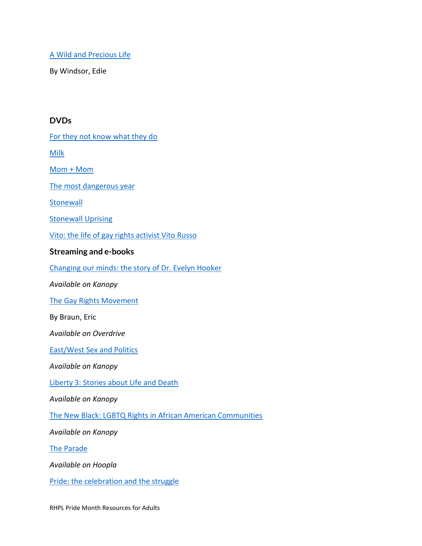## [A Wild and Precious Life](https://catalog.rhpl.org/polaris/search/searchresults.aspx?ctx=3.1033.0.0.8&type=Browse&term=A%20wild%20and%20precious%20life%20:%20a%20memoir&by=TI&sort=RELEVANCE&limit=TOM=*&query=MTE=%27319076%27&page=0&searchid=0)

By Windsor, Edie

## **DVDs**

[For they not know what they do](https://catalog.rhpl.org/polaris/search/title.aspx?ctx=1.1033.0.0.8&pos=1&cn=759922)

[Milk](https://catalog.rhpl.org/polaris/search/title.aspx?ctx=1.1033.0.0.8&pos=7&cn=273331)

[Mom + Mom](https://catalog.rhpl.org/polaris/search/title.aspx?ctx=1.1033.0.0.8&pos=1&cn=704902)

[The most dangerous year](https://catalog.rhpl.org/polaris/search/title.aspx?ctx=1.1033.0.0.8&pos=1&cn=685273)

**[Stonewall](https://catalog.rhpl.org/polaris/search/title.aspx?ctx=3.1033.0.0.8&pos=1&cn=493460)** 

**[Stonewall Uprising](https://catalog.rhpl.org/polaris/search/title.aspx?ctx=3.1033.0.0.8&pos=1&cn=327354)** 

[Vito: the life of gay rights activist Vito Russo](https://catalog.rhpl.org/polaris/search/title.aspx?ctx=1.1033.0.0.8&pos=3&cn=697707)

## **Streaming and e-books**

[Changing our minds: the story of Dr. Evelyn Hooker](https://rhpl.kanopy.com/video/changing-our-minds-story-dr-evelyn-hooker)

*Available on Kanopy*

[The Gay Rights Movement](https://catalog.rhpl.org/polaris/search/title.aspx?ctx=3.1033.0.0.8&pos=1&cn=741356)

By Braun, Eric

*Available on Overdrive*

[East/West Sex and Politics](https://rhpl.kanopy.com/video/eastwest-sex-and-politics)

*Available on Kanopy*

[Liberty 3: Stories about Life and Death](https://rhpl.kanopy.com/video/liberty-3-stories-about-life-death)

*Available on Kanopy*

[The New Black: LGBTQ Rights in African American Communities](https://rhpl.kanopy.com/video/new-black)

*Available on Kanopy*

[The Parade](https://www.hoopladigital.com/title/12340519?utm_source=MARC)

*Available on Hoopla*

[Pride: the celebration and the struggle](https://metronet.overdrive.com/metronet-rochesterhills/content/media/5297707)

RHPL Pride Month Resources for Adults